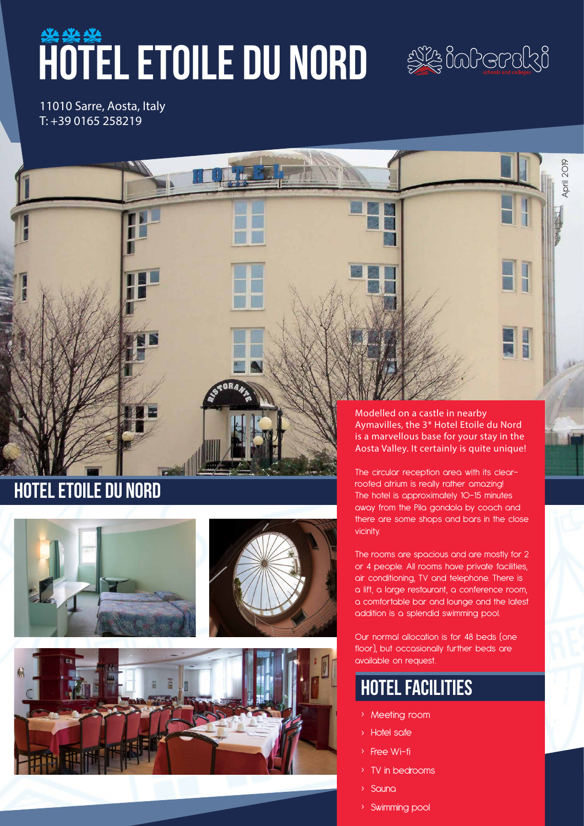# WATEL ETOILE DU NORD SA BODGDBRA



April 2019

11010 Sarre, Aosta, Italy T: +39 0165 258219

# Hotel Etoile du nord







Modelled on a castle in nearby Aymavilles, the 3\* Hotel Etoile du Nord is a marvellous base for your stay in the Aosta Valley. It certainly is quite unique!

The circular reception area with its clearroofed atrium is really rather amazing! The hotel is approximately 10-15 minutes away from the Pila gondola by coach and there are some shops and bars in the close vicinity.

The rooms are spacious and are mostly for 2 or 4 people. All rooms have private facilities, air conditioning, TV and telephone. There is a lift, a large restaurant, a conference room, a comfortable bar and lounge and the latest addition is a splendid swimming pool.

Our normal allocation is for 48 beds (one floor), but occasionally further beds are available on request.

# hotel facilities

- › Meeting room
- › Hotel safe
- › Free Wi-fi
- TV in bedrooms
- › Sauna
- › Swimming pool